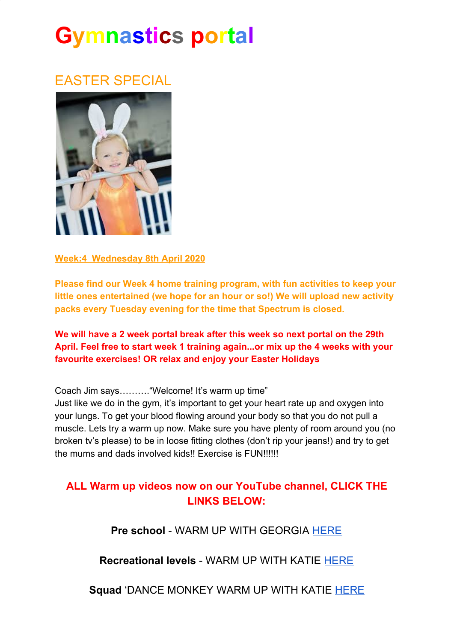# **Gymnastics portal**

### EASTER SPECIAL



**Week:4 Wednesday 8th April 2020**

**Please find our Week 4 home training program, with fun activities to keep your little ones entertained (we hope for an hour or so!) We will upload new activity packs every Tuesday evening for the time that Spectrum is closed.**

**We will have a 2 week portal break after this week so next portal on the 29th April. Feel free to start week 1 training again...or mix up the 4 weeks with your favourite exercises! OR relax and enjoy your Easter Holidays**

Coach Jim says………."Welcome! It's warm up time"

Just like we do in the gym, it's important to get your heart rate up and oxygen into your lungs. To get your blood flowing around your body so that you do not pull a muscle. Lets try a warm up now. Make sure you have plenty of room around you (no broken tv's please) to be in loose fitting clothes (don't rip your jeans!) and try to get the mums and dads involved kids!! Exercise is FUN!!!!!!

#### **ALL Warm up videos now on our YouTube channel, CLICK THE LINKS BELOW:**

**Pre school** - WARM UP WITH GEORGIA [HERE](https://www.youtube.com/watch?v=2WOVNVJv3Ec&t=22s)

**Recreational levels** - WARM UP WITH KATIE [HERE](https://www.youtube.com/watch?v=9syNhXrYLCg)

**Squad** 'DANCE MONKEY WARM UP WITH KATIE [HERE](https://www.youtube.com/watch?v=p2ox8aOsVHk&t=2s)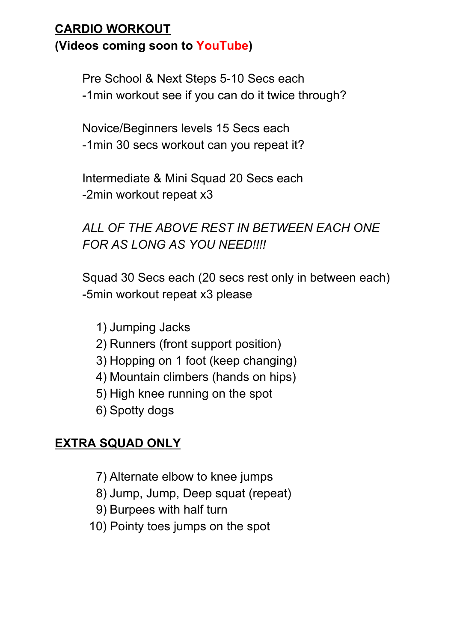#### **CARDIO WORKOUT (Videos coming soon to YouTube)**

Pre School & Next Steps 5-10 Secs each

-1min workout see if you can do it twice through?

Novice/Beginners levels 15 Secs each -1min 30 secs workout can you repeat it?

Intermediate & Mini Squad 20 Secs each -2min workout repeat x3

*ALL OF THE ABOVE REST IN BETWEEN EACH ONE FOR AS LONG AS YOU NEED!!!!*

Squad 30 Secs each (20 secs rest only in between each) -5min workout repeat x3 please

- 1) Jumping Jacks
- 2) Runners (front support position)
- 3) Hopping on 1 foot (keep changing)
- 4) Mountain climbers (hands on hips)
- 5) High knee running on the spot
- 6) Spotty dogs

#### **EXTRA SQUAD ONLY**

- 7) Alternate elbow to knee jumps
- 8) Jump, Jump, Deep squat (repeat)
- 9) Burpees with half turn
- 10) Pointy toes jumps on the spot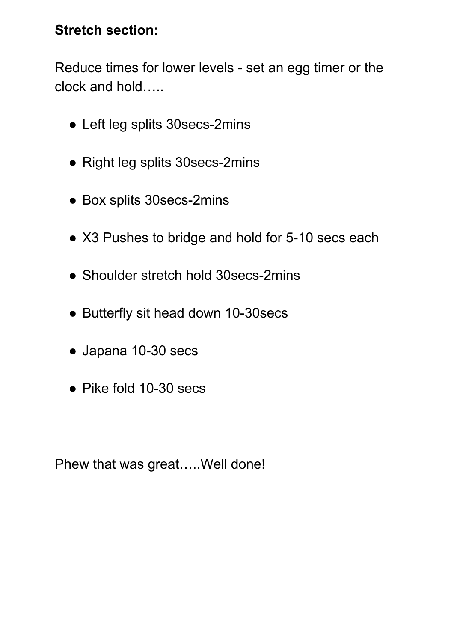#### **Stretch section:**

Reduce times for lower levels - set an egg timer or the clock and hold…..

- Left leg splits 30secs-2mins
- Right leg splits 30secs-2mins
- Box splits 30secs-2mins
- X3 Pushes to bridge and hold for 5-10 secs each
- Shoulder stretch hold 30 secs-2mins
- Butterfly sit head down 10-30secs
- Japana 10-30 secs
- Pike fold 10-30 secs

Phew that was great…..Well done!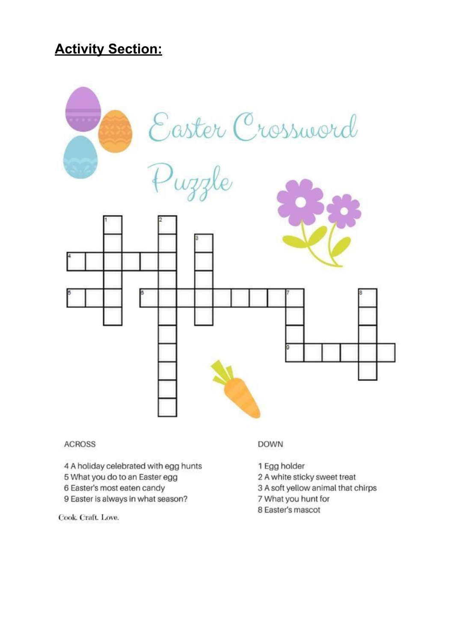#### **Activity Section:**



#### **ACROSS**

- 4 A holiday celebrated with egg hunts
- 5 What you do to an Easter egg
- 6 Easter's most eaten candy
- 9 Easter is always in what season?

Cook. Craft. Love.

#### **DOWN**

- 1 Egg holder
- 2 A white sticky sweet treat
- 3 A soft yellow animal that chirps
- 7 What you hunt for
- 8 Easter's mascot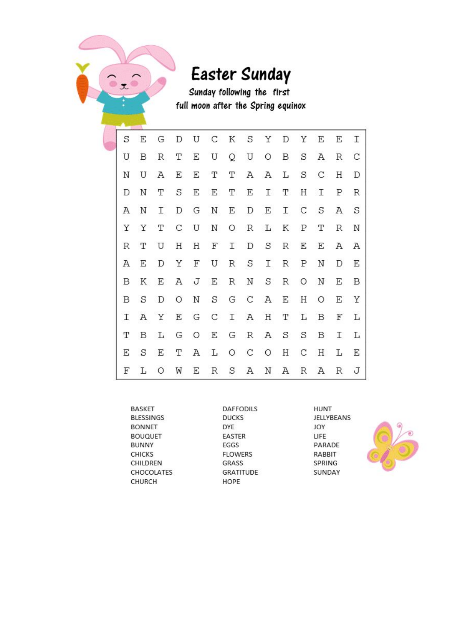

## Easter Sunday

Sunday following the first full moon after the Spring equinox

| S | Ε | G   | D | U          |         | C K S       |       | Y            | D           | Υ            | Ε             | Ε           | Ι   |
|---|---|-----|---|------------|---------|-------------|-------|--------------|-------------|--------------|---------------|-------------|-----|
| U | B | R   | Т | Ε          | U       |             | Q U   | $\circ$      | B           | $\mathbf S$  | Α             | R           | C   |
| Ν | U | Α   | Е | Ε          | Т       | Т           | А     | $\mathbb{A}$ | L           | $\mathbf S$  | $\mathcal{C}$ | Η           | D   |
| D | Ν | Т   | S | E          | E       | T           | Ε     | T.           | T           | Η            | $\mathbf{I}$  | Ρ           | R   |
| Α | N | Ĩ.  | D | G          | N       | Ε           | D     | E            |             | I C          | $\mathbf S$   | Α           | S   |
| Υ | Υ | Т   | C | U          | Ν       | $\circ$     | R     | L            | Κ           | Ρ            | Т             | R           | Ν   |
| R | Т | U   | Η | Η          | F       | $\mathbf I$ | D     | $\mathbf S$  | R           | Ε            | Ε             | Α           | Α   |
| Α | Ε | D   | Υ | $_{\rm F}$ | U       | R           | S     | I.           | $\mathbb R$ | $\mathbf{P}$ | N             | D           | Ε   |
| B | K | E   |   | A J        | E       | R           | Ν     | S            | R           | O            | Ν             | Е           | B   |
| B | S | D   | O | N          | S       |             |       | G C A        |             | E H          | $\circ$       |             | E Y |
| I |   | A Y | Ε | G          | C I A H |             |       |              | Т           | L            | B             | F           | L   |
| Т | B | L   |   |            | G O E   |             | G R A |              |             | S S          | B             | $\mathbf I$ | L   |
| Ε | S | E   | T |            | A L     | $\circ$     |       | $C$ $O$      | Н           | С            | H             | L           | E   |
| F | L | O   | W | Ε          | R       | S           | Α     | N            | Α           | R            | Α             | R           | J   |

| <b>BASKET</b>     |
|-------------------|
| <b>BLESSINGS</b>  |
| <b>BONNET</b>     |
| <b>BOUQUET</b>    |
| <b>BUNNY</b>      |
| <b>CHICKS</b>     |
| CHILDREN          |
| <b>CHOCOLATES</b> |
| CHURCH            |

DAFFODILS **DUCKS** DYE EASTER EGGS **FLOWERS** GRASS **GRATITUDE** HOPE

HUNT JELLYBEANS JOY LIFE PARADE RABBIT SPRING SUNDAY

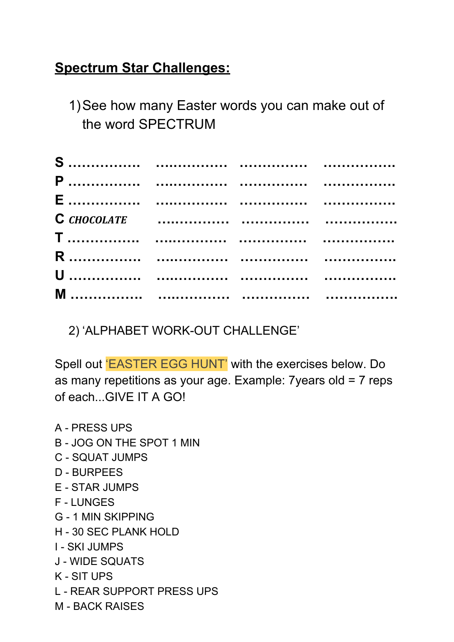### **Spectrum Star Challenges:**

1)See how many Easter words you can make out of the word SPECTRUM

2) 'ALPHABET WORK-OUT CHALLENGE'

Spell out 'EASTER EGG HUNT' with the exercises below. Do as many repetitions as your age. Example: 7years old = 7 reps of each...GIVE IT A GO!

A - PRESS UPS B - JOG ON THE SPOT 1 MIN C - SQUAT JUMPS D - BURPEES E - STAR JUMPS F - LUNGES G - 1 MIN SKIPPING H - 30 SEC PLANK HOLD I - SKI JUMPS J - WIDE SQUATS K - SIT UPS L - REAR SUPPORT PRESS UPS M - BACK RAISES